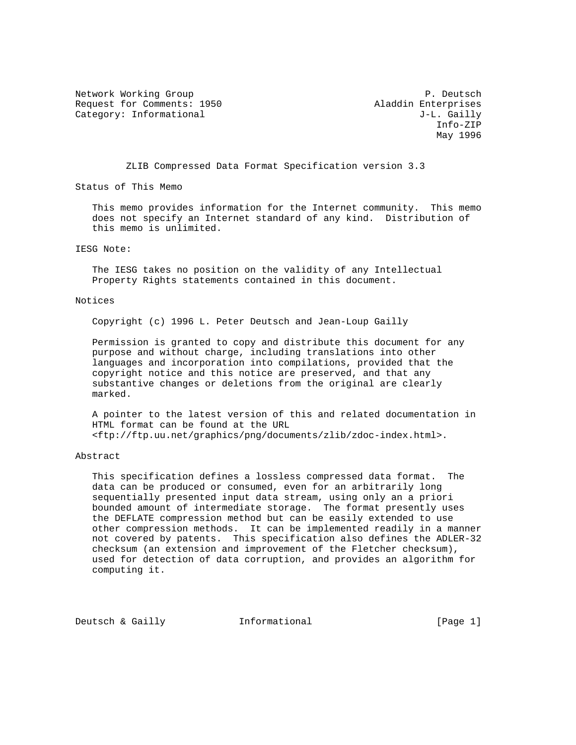Network Working Group **P. Deutsch** Request for Comments: 1950 Aladdin Enterprises Category: Informational and a set of the U.S. Cailly J-L. Gailly

 Info-ZIP May 1996

ZLIB Compressed Data Format Specification version 3.3

Status of This Memo

 This memo provides information for the Internet community. This memo does not specify an Internet standard of any kind. Distribution of this memo is unlimited.

IESG Note:

 The IESG takes no position on the validity of any Intellectual Property Rights statements contained in this document.

#### Notices

Copyright (c) 1996 L. Peter Deutsch and Jean-Loup Gailly

 Permission is granted to copy and distribute this document for any purpose and without charge, including translations into other languages and incorporation into compilations, provided that the copyright notice and this notice are preserved, and that any substantive changes or deletions from the original are clearly marked.

 A pointer to the latest version of this and related documentation in HTML format can be found at the URL <ftp://ftp.uu.net/graphics/png/documents/zlib/zdoc-index.html>.

#### Abstract

 This specification defines a lossless compressed data format. The data can be produced or consumed, even for an arbitrarily long sequentially presented input data stream, using only an a priori bounded amount of intermediate storage. The format presently uses the DEFLATE compression method but can be easily extended to use other compression methods. It can be implemented readily in a manner not covered by patents. This specification also defines the ADLER-32 checksum (an extension and improvement of the Fletcher checksum), used for detection of data corruption, and provides an algorithm for computing it.

Deutsch & Gailly **Informational** [Page 1]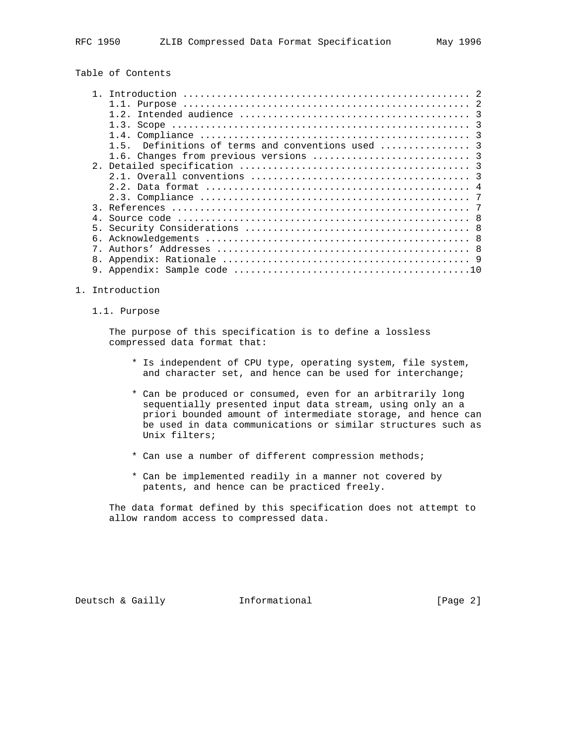# Table of Contents

|    | 1.3.                                                            |
|----|-----------------------------------------------------------------|
|    |                                                                 |
|    | Definitions of terms and conventions used  3<br>$1\overline{5}$ |
|    |                                                                 |
|    |                                                                 |
|    |                                                                 |
|    |                                                                 |
|    |                                                                 |
|    |                                                                 |
|    |                                                                 |
|    |                                                                 |
| б. |                                                                 |
|    |                                                                 |
|    |                                                                 |
|    |                                                                 |

#### 1. Introduction

## 1.1. Purpose

 The purpose of this specification is to define a lossless compressed data format that:

- \* Is independent of CPU type, operating system, file system, and character set, and hence can be used for interchange;
- \* Can be produced or consumed, even for an arbitrarily long sequentially presented input data stream, using only an a priori bounded amount of intermediate storage, and hence can be used in data communications or similar structures such as Unix filters;
- \* Can use a number of different compression methods;
- \* Can be implemented readily in a manner not covered by patents, and hence can be practiced freely.

 The data format defined by this specification does not attempt to allow random access to compressed data.

Deutsch & Gailly **Informational** [Page 2]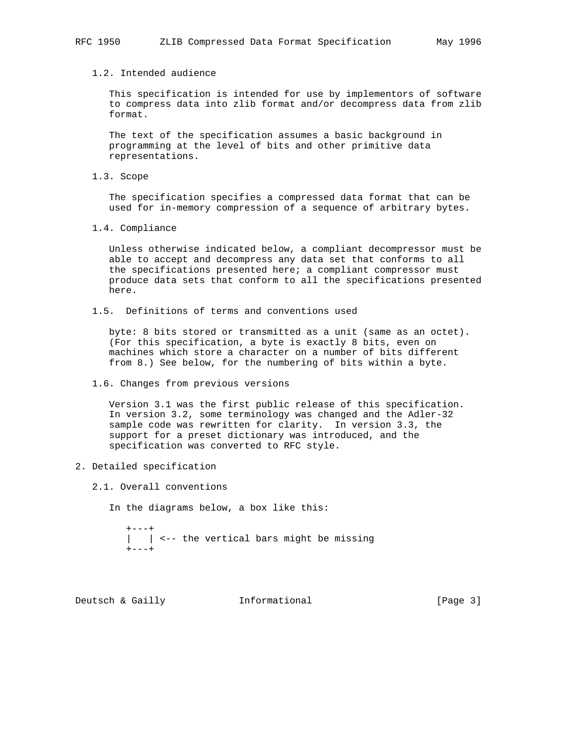## 1.2. Intended audience

 This specification is intended for use by implementors of software to compress data into zlib format and/or decompress data from zlib format.

 The text of the specification assumes a basic background in programming at the level of bits and other primitive data representations.

1.3. Scope

 The specification specifies a compressed data format that can be used for in-memory compression of a sequence of arbitrary bytes.

1.4. Compliance

 Unless otherwise indicated below, a compliant decompressor must be able to accept and decompress any data set that conforms to all the specifications presented here; a compliant compressor must produce data sets that conform to all the specifications presented here.

1.5. Definitions of terms and conventions used

 byte: 8 bits stored or transmitted as a unit (same as an octet). (For this specification, a byte is exactly 8 bits, even on machines which store a character on a number of bits different from 8.) See below, for the numbering of bits within a byte.

1.6. Changes from previous versions

 Version 3.1 was the first public release of this specification. In version 3.2, some terminology was changed and the Adler-32 sample code was rewritten for clarity. In version 3.3, the support for a preset dictionary was introduced, and the specification was converted to RFC style.

- 2. Detailed specification
	- 2.1. Overall conventions

In the diagrams below, a box like this:

 $+---+$  | | <-- the vertical bars might be missing  $+---+$ 

Deutsch & Gailly **Informational** [Page 3]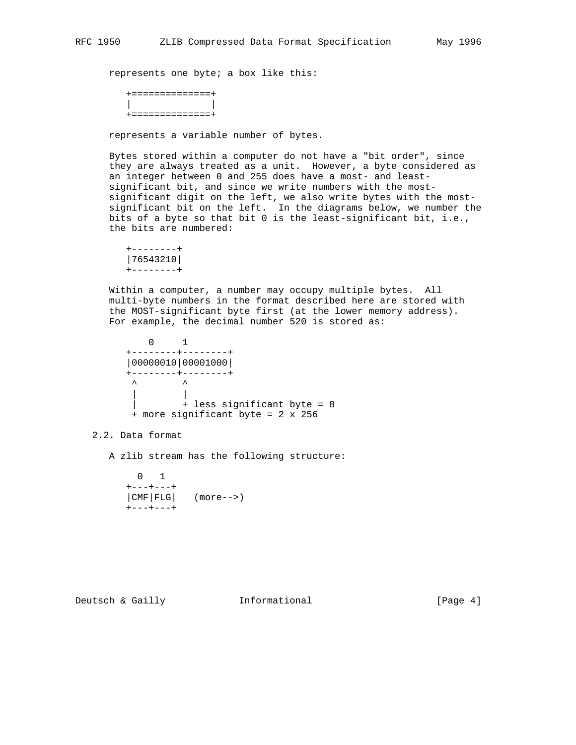represents one byte; a box like this:

```
 +==============+
| |
+==============+
```
represents a variable number of bytes.

 Bytes stored within a computer do not have a "bit order", since they are always treated as a unit. However, a byte considered as an integer between 0 and 255 does have a most- and least significant bit, and since we write numbers with the most significant digit on the left, we also write bytes with the most significant bit on the left. In the diagrams below, we number the bits of a byte so that bit 0 is the least-significant bit, i.e., the bits are numbered:

```
 +--------+
|76543210|
+--------+
```
 Within a computer, a number may occupy multiple bytes. All multi-byte numbers in the format described here are stored with the MOST-significant byte first (at the lower memory address). For example, the decimal number 520 is stored as:

 0 1 +--------+--------+ |00000010|00001000| +--------+--------+  $\begin{matrix} \boldsymbol{\lambda} & \boldsymbol{\lambda} & \boldsymbol{\lambda} \end{matrix}$  | | | + less significant byte = 8 + more significant byte = 2 x 256

2.2. Data format

A zlib stream has the following structure:

 0 1  $+---+---+$  |CMF|FLG| (more-->) +---+---+

Deutsch & Gailly **Informational** [Page 4]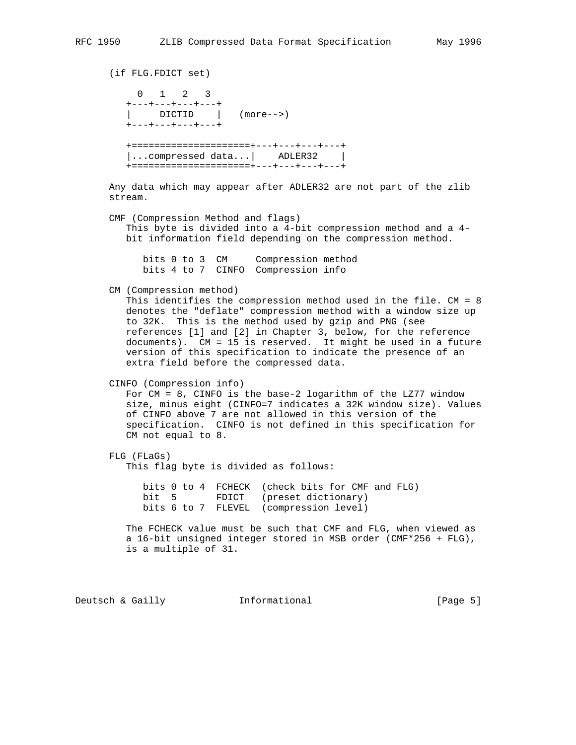(if FLG.FDICT set) 0 1 2 3 +---+---+---+---+ | DICTID | (more-->) +---+---+---+---+ +=====================+---+---+---+---+ |...compressed data...| ADLER32 | +=====================+---+---+---+---+ Any data which may appear after ADLER32 are not part of the zlib stream. CMF (Compression Method and flags) This byte is divided into a 4-bit compression method and a 4 bit information field depending on the compression method. bits 0 to 3 CM Compression method bits 4 to 7 CINFO Compression info CM (Compression method) This identifies the compression method used in the file. CM = 8 denotes the "deflate" compression method with a window size up to 32K. This is the method used by gzip and PNG (see references [1] and [2] in Chapter 3, below, for the reference documents). CM = 15 is reserved. It might be used in a future version of this specification to indicate the presence of an extra field before the compressed data. CINFO (Compression info) For CM = 8, CINFO is the base-2 logarithm of the LZ77 window size, minus eight (CINFO=7 indicates a 32K window size). Values of CINFO above 7 are not allowed in this version of the specification. CINFO is not defined in this specification for CM not equal to 8. FLG (FLaGs) This flag byte is divided as follows: bits 0 to 4 FCHECK (check bits for CMF and FLG) bit 5 FDICT (preset dictionary) bits 6 to 7 FLEVEL (compression level) The FCHECK value must be such that CMF and FLG, when viewed as a 16-bit unsigned integer stored in MSB order (CMF\*256 + FLG), is a multiple of 31.

Deutsch & Gailly **Informational** [Page 5]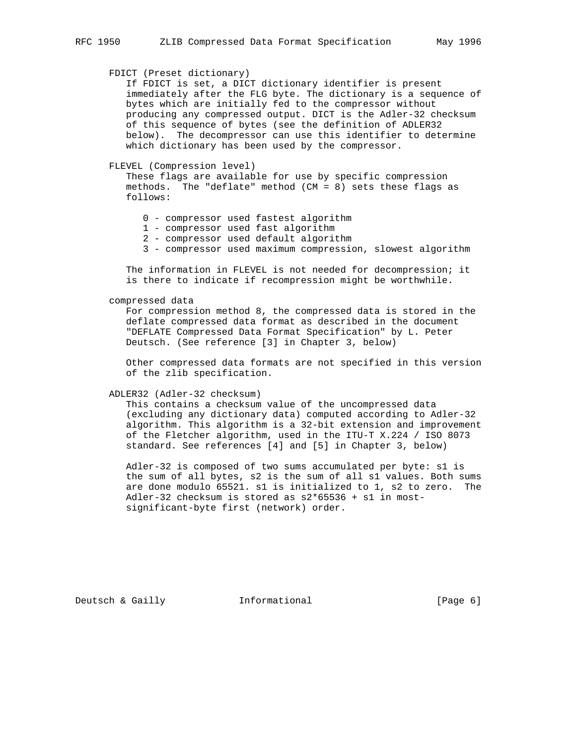## FDICT (Preset dictionary)

 If FDICT is set, a DICT dictionary identifier is present immediately after the FLG byte. The dictionary is a sequence of bytes which are initially fed to the compressor without producing any compressed output. DICT is the Adler-32 checksum of this sequence of bytes (see the definition of ADLER32 below). The decompressor can use this identifier to determine which dictionary has been used by the compressor.

#### FLEVEL (Compression level)

 These flags are available for use by specific compression methods. The "deflate" method (CM = 8) sets these flags as follows:

- 0 compressor used fastest algorithm
- 1 compressor used fast algorithm
- 2 compressor used default algorithm
- 3 compressor used maximum compression, slowest algorithm

 The information in FLEVEL is not needed for decompression; it is there to indicate if recompression might be worthwhile.

#### compressed data

 For compression method 8, the compressed data is stored in the deflate compressed data format as described in the document "DEFLATE Compressed Data Format Specification" by L. Peter Deutsch. (See reference [3] in Chapter 3, below)

 Other compressed data formats are not specified in this version of the zlib specification.

ADLER32 (Adler-32 checksum)

 This contains a checksum value of the uncompressed data (excluding any dictionary data) computed according to Adler-32 algorithm. This algorithm is a 32-bit extension and improvement of the Fletcher algorithm, used in the ITU-T X.224 / ISO 8073 standard. See references [4] and [5] in Chapter 3, below)

 Adler-32 is composed of two sums accumulated per byte: s1 is the sum of all bytes, s2 is the sum of all s1 values. Both sums are done modulo 65521. s1 is initialized to 1, s2 to zero. The Adler-32 checksum is stored as s2\*65536 + s1 in most significant-byte first (network) order.

Deutsch & Gailly **Informational** [Page 6]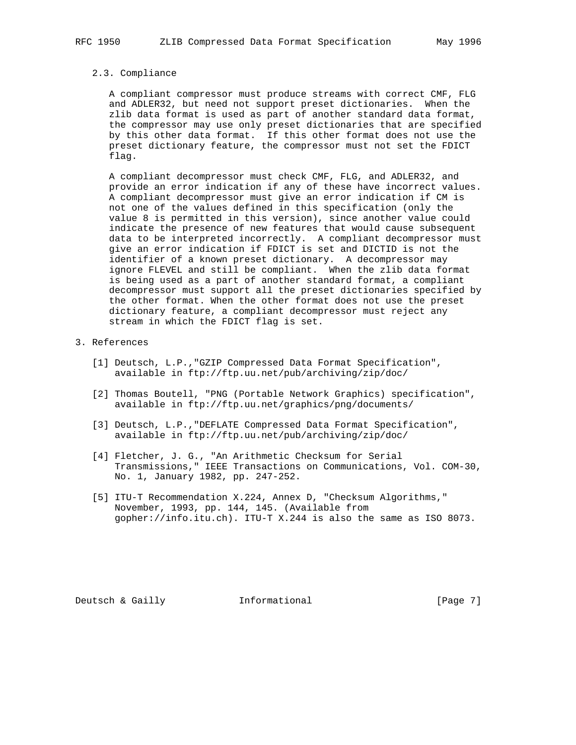#### 2.3. Compliance

 A compliant compressor must produce streams with correct CMF, FLG and ADLER32, but need not support preset dictionaries. When the zlib data format is used as part of another standard data format, the compressor may use only preset dictionaries that are specified by this other data format. If this other format does not use the preset dictionary feature, the compressor must not set the FDICT flag.

 A compliant decompressor must check CMF, FLG, and ADLER32, and provide an error indication if any of these have incorrect values. A compliant decompressor must give an error indication if CM is not one of the values defined in this specification (only the value 8 is permitted in this version), since another value could indicate the presence of new features that would cause subsequent data to be interpreted incorrectly. A compliant decompressor must give an error indication if FDICT is set and DICTID is not the identifier of a known preset dictionary. A decompressor may ignore FLEVEL and still be compliant. When the zlib data format is being used as a part of another standard format, a compliant decompressor must support all the preset dictionaries specified by the other format. When the other format does not use the preset dictionary feature, a compliant decompressor must reject any stream in which the FDICT flag is set.

### 3. References

- [1] Deutsch, L.P.,"GZIP Compressed Data Format Specification", available in ftp://ftp.uu.net/pub/archiving/zip/doc/
- [2] Thomas Boutell, "PNG (Portable Network Graphics) specification", available in ftp://ftp.uu.net/graphics/png/documents/
- [3] Deutsch, L.P.,"DEFLATE Compressed Data Format Specification", available in ftp://ftp.uu.net/pub/archiving/zip/doc/
- [4] Fletcher, J. G., "An Arithmetic Checksum for Serial Transmissions," IEEE Transactions on Communications, Vol. COM-30, No. 1, January 1982, pp. 247-252.
- [5] ITU-T Recommendation X.224, Annex D, "Checksum Algorithms," November, 1993, pp. 144, 145. (Available from gopher://info.itu.ch). ITU-T X.244 is also the same as ISO 8073.

Deutsch & Gailly **Informational** [Page 7]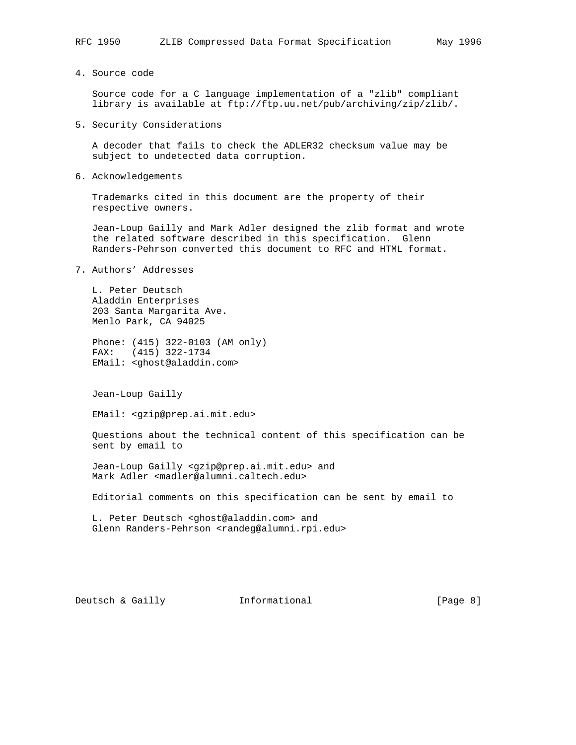4. Source code

 Source code for a C language implementation of a "zlib" compliant library is available at ftp://ftp.uu.net/pub/archiving/zip/zlib/.

5. Security Considerations

 A decoder that fails to check the ADLER32 checksum value may be subject to undetected data corruption.

6. Acknowledgements

 Trademarks cited in this document are the property of their respective owners.

 Jean-Loup Gailly and Mark Adler designed the zlib format and wrote the related software described in this specification. Glenn Randers-Pehrson converted this document to RFC and HTML format.

7. Authors' Addresses

 L. Peter Deutsch Aladdin Enterprises 203 Santa Margarita Ave. Menlo Park, CA 94025

 Phone: (415) 322-0103 (AM only) FAX: (415) 322-1734 EMail: <ghost@aladdin.com>

Jean-Loup Gailly

EMail: <gzip@prep.ai.mit.edu>

 Questions about the technical content of this specification can be sent by email to

 Jean-Loup Gailly <gzip@prep.ai.mit.edu> and Mark Adler <madler@alumni.caltech.edu>

Editorial comments on this specification can be sent by email to

 L. Peter Deutsch <ghost@aladdin.com> and Glenn Randers-Pehrson <randeg@alumni.rpi.edu>

Deutsch & Gailly **Informational** [Page 8]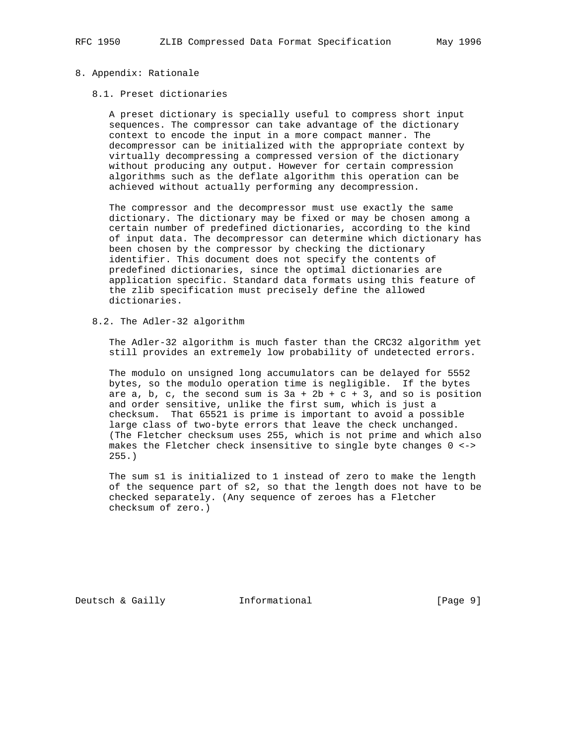#### 8. Appendix: Rationale

#### 8.1. Preset dictionaries

 A preset dictionary is specially useful to compress short input sequences. The compressor can take advantage of the dictionary context to encode the input in a more compact manner. The decompressor can be initialized with the appropriate context by virtually decompressing a compressed version of the dictionary without producing any output. However for certain compression algorithms such as the deflate algorithm this operation can be achieved without actually performing any decompression.

 The compressor and the decompressor must use exactly the same dictionary. The dictionary may be fixed or may be chosen among a certain number of predefined dictionaries, according to the kind of input data. The decompressor can determine which dictionary has been chosen by the compressor by checking the dictionary identifier. This document does not specify the contents of predefined dictionaries, since the optimal dictionaries are application specific. Standard data formats using this feature of the zlib specification must precisely define the allowed dictionaries.

8.2. The Adler-32 algorithm

 The Adler-32 algorithm is much faster than the CRC32 algorithm yet still provides an extremely low probability of undetected errors.

 The modulo on unsigned long accumulators can be delayed for 5552 bytes, so the modulo operation time is negligible. If the bytes are a, b, c, the second sum is  $3a + 2b + c + 3$ , and so is position and order sensitive, unlike the first sum, which is just a checksum. That 65521 is prime is important to avoid a possible large class of two-byte errors that leave the check unchanged. (The Fletcher checksum uses 255, which is not prime and which also makes the Fletcher check insensitive to single byte changes 0 <-> 255.)

 The sum s1 is initialized to 1 instead of zero to make the length of the sequence part of s2, so that the length does not have to be checked separately. (Any sequence of zeroes has a Fletcher checksum of zero.)

Deutsch & Gailly **Informational** [Page 9]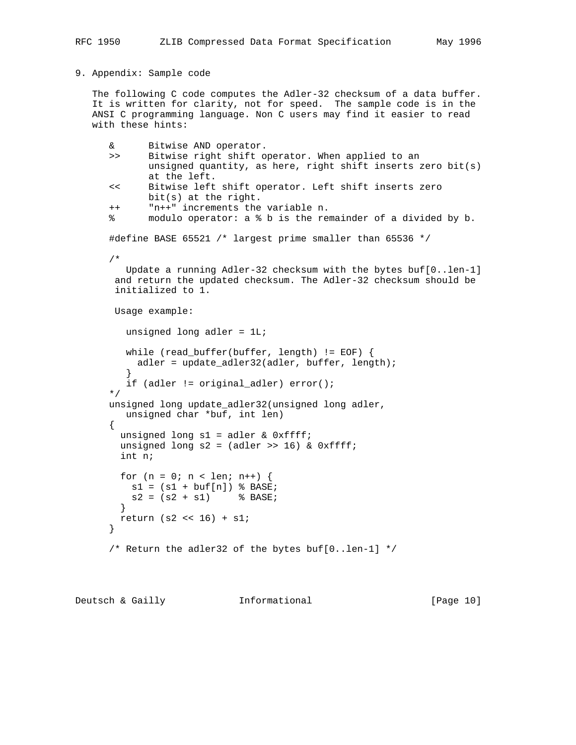### 9. Appendix: Sample code

 The following C code computes the Adler-32 checksum of a data buffer. It is written for clarity, not for speed. The sample code is in the ANSI C programming language. Non C users may find it easier to read with these hints:

```
 & Bitwise AND operator.
      >> Bitwise right shift operator. When applied to an
             unsigned quantity, as here, right shift inserts zero bit(s)
             at the left.
      << Bitwise left shift operator. Left shift inserts zero
             bit(s) at the right.
      ++ "n++" increments the variable n.
      % modulo operator: a % b is the remainder of a divided by b.
      #define BASE 65521 /* largest prime smaller than 65536 */
      /*
        Update a running Adler-32 checksum with the bytes buf[0..len-1]
      and return the updated checksum. The Adler-32 checksum should be
      initialized to 1.
      Usage example:
         unsigned long adler = 1L;
         while (read_buffer(buffer, length) != EOF) {
           adler = update_adler32(adler, buffer, length);
}
         if (adler != original_adler) error();
      */
      unsigned long update_adler32(unsigned long adler,
        unsigned char *buf, int len)
      {
      unsigned long s1 = \text{adler} \& \text{0} \times \text{eff} \cdot funsigned long s2 = (adler \gg 16) & 0xffff; int n;
       for (n = 0; n < len; n++) {
        sl = (sl + buf[n]) % BASE;
        s2 = (s2 + s1) % BASE;
        }
      return (s2 \lt t16) + s1;
      }
      /* Return the adler32 of the bytes buf[0..len-1] */
```
Deutsch & Gailly **Informational** [Page 10]